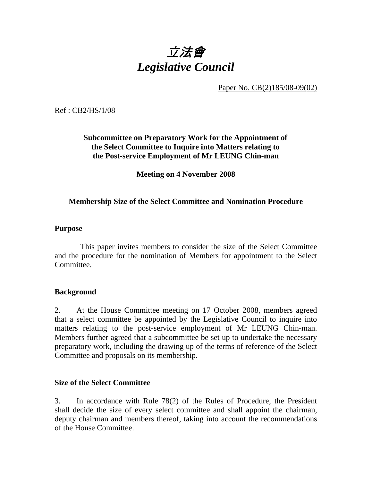

Paper No. CB(2)185/08-09(02)

Ref : CB2/HS/1/08

# **Subcommittee on Preparatory Work for the Appointment of the Select Committee to Inquire into Matters relating to the Post-service Employment of Mr LEUNG Chin-man**

**Meeting on 4 November 2008** 

## **Membership Size of the Select Committee and Nomination Procedure**

#### **Purpose**

 This paper invites members to consider the size of the Select Committee and the procedure for the nomination of Members for appointment to the Select Committee.

### **Background**

2. At the House Committee meeting on 17 October 2008, members agreed that a select committee be appointed by the Legislative Council to inquire into matters relating to the post-service employment of Mr LEUNG Chin-man. Members further agreed that a subcommittee be set up to undertake the necessary preparatory work, including the drawing up of the terms of reference of the Select Committee and proposals on its membership.

### **Size of the Select Committee**

3. In accordance with Rule 78(2) of the Rules of Procedure, the President shall decide the size of every select committee and shall appoint the chairman, deputy chairman and members thereof, taking into account the recommendations of the House Committee.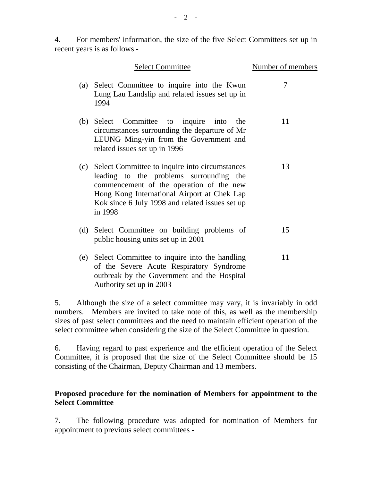4. For members' information, the size of the five Select Committees set up in recent years is as follows -

|     | <b>Select Committee</b>                                                                                                                                                                                                                            | Number of members |
|-----|----------------------------------------------------------------------------------------------------------------------------------------------------------------------------------------------------------------------------------------------------|-------------------|
| (a) | Select Committee to inquire into the Kwun<br>Lung Lau Landslip and related issues set up in<br>1994                                                                                                                                                | 7                 |
|     | (b) Select Committee to inquire<br>into<br>the<br>circumstances surrounding the departure of Mr<br>LEUNG Ming-yin from the Government and<br>related issues set up in 1996                                                                         | 11                |
| (c) | Select Committee to inquire into circumstances<br>leading to the problems surrounding the<br>commencement of the operation of the new<br>Hong Kong International Airport at Chek Lap<br>Kok since 6 July 1998 and related issues set up<br>in 1998 | 13                |
|     | (d) Select Committee on building problems of<br>public housing units set up in 2001                                                                                                                                                                | 15                |
| (e) | Select Committee to inquire into the handling<br>of the Severe Acute Respiratory Syndrome<br>outbreak by the Government and the Hospital<br>Authority set up in 2003                                                                               | 11                |

5. Although the size of a select committee may vary, it is invariably in odd numbers. Members are invited to take note of this, as well as the membership sizes of past select committees and the need to maintain efficient operation of the select committee when considering the size of the Select Committee in question.

6. Having regard to past experience and the efficient operation of the Select Committee, it is proposed that the size of the Select Committee should be 15 consisting of the Chairman, Deputy Chairman and 13 members.

## **Proposed procedure for the nomination of Members for appointment to the Select Committee**

7. The following procedure was adopted for nomination of Members for appointment to previous select committees -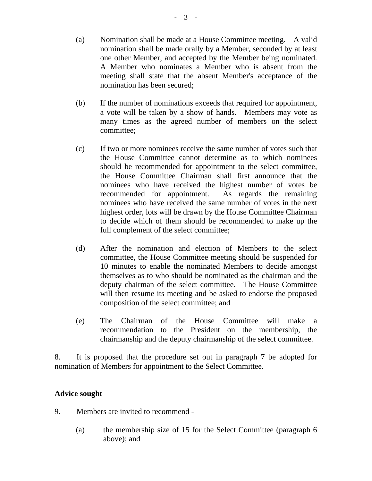- (a) Nomination shall be made at a House Committee meeting. A valid nomination shall be made orally by a Member, seconded by at least one other Member, and accepted by the Member being nominated. A Member who nominates a Member who is absent from the meeting shall state that the absent Member's acceptance of the nomination has been secured;
- (b) If the number of nominations exceeds that required for appointment, a vote will be taken by a show of hands. Members may vote as many times as the agreed number of members on the select committee;
- (c) If two or more nominees receive the same number of votes such that the House Committee cannot determine as to which nominees should be recommended for appointment to the select committee, the House Committee Chairman shall first announce that the nominees who have received the highest number of votes be recommended for appointment. As regards the remaining nominees who have received the same number of votes in the next highest order, lots will be drawn by the House Committee Chairman to decide which of them should be recommended to make up the full complement of the select committee;
- (d) After the nomination and election of Members to the select committee, the House Committee meeting should be suspended for 10 minutes to enable the nominated Members to decide amongst themselves as to who should be nominated as the chairman and the deputy chairman of the select committee. The House Committee will then resume its meeting and be asked to endorse the proposed composition of the select committee; and
- (e) The Chairman of the House Committee will make a recommendation to the President on the membership, the chairmanship and the deputy chairmanship of the select committee.

8. It is proposed that the procedure set out in paragraph 7 be adopted for nomination of Members for appointment to the Select Committee.

### **Advice sought**

- 9. Members are invited to recommend
	- (a) the membership size of 15 for the Select Committee (paragraph 6 above); and